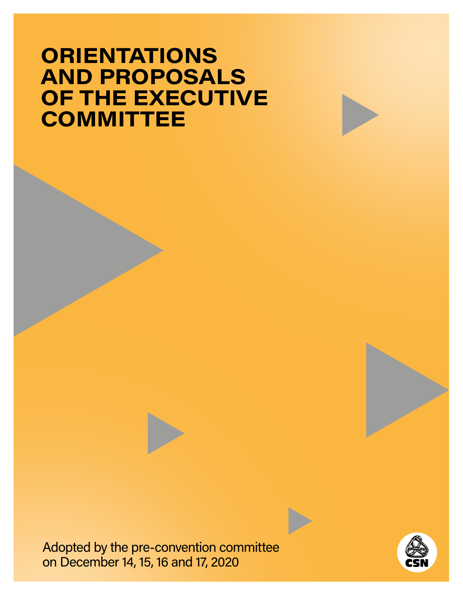# **ORIENTATIONS AND PROPOSALS OF THE EXECUTIVE COMMITTEE**

Adopted by the pre-convention committee on December 14, 15, 16 and 17, 2020

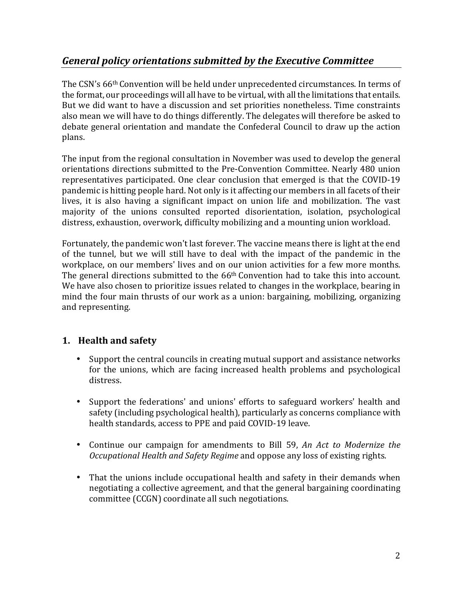# *General policy orientations submitted by the Executive Committee*

The CSN's 66th Convention will be held under unprecedented circumstances. In terms of the format, our proceedings will all have to be virtual, with all the limitations that entails. But we did want to have a discussion and set priorities nonetheless. Time constraints also mean we will have to do things differently. The delegates will therefore be asked to debate general orientation and mandate the Confederal Council to draw up the action plans.

The input from the regional consultation in November was used to develop the general orientations directions submitted to the Pre-Convention Committee. Nearly 480 union representatives participated. One clear conclusion that emerged is that the COVID-19 pandemic is hitting people hard. Not only is it affecting our members in all facets of their lives, it is also having a significant impact on union life and mobilization. The vast majority of the unions consulted reported disorientation, isolation, psychological distress, exhaustion, overwork, difficulty mobilizing and a mounting union workload.

Fortunately, the pandemic won't last forever. The vaccine means there is light at the end of the tunnel, but we will still have to deal with the impact of the pandemic in the workplace, on our members' lives and on our union activities for a few more months. The general directions submitted to the 66th Convention had to take this into account. We have also chosen to prioritize issues related to changes in the workplace, bearing in mind the four main thrusts of our work as a union: bargaining, mobilizing, organizing and representing.

# **1. Health and safety**

- Support the central councils in creating mutual support and assistance networks for the unions, which are facing increased health problems and psychological distress.
- Support the federations' and unions' efforts to safeguard workers' health and safety (including psychological health), particularly as concerns compliance with health standards, access to PPE and paid COVID-19 leave.
- Continue our campaign for amendments to Bill 59, *An Act to Modernize the Occupational Health and Safety Regime* and oppose any loss of existing rights.
- That the unions include occupational health and safety in their demands when negotiating a collective agreement, and that the general bargaining coordinating committee (CCGN) coordinate all such negotiations.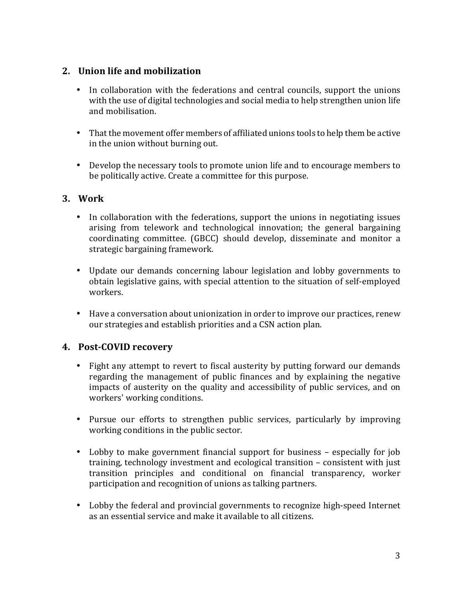#### **2. Union life and mobilization**

- In collaboration with the federations and central councils, support the unions with the use of digital technologies and social media to help strengthen union life and mobilisation.
- That the movement offer members of affiliated unions tools to help them be active in the union without burning out.
- Develop the necessary tools to promote union life and to encourage members to be politically active. Create a committee for this purpose.

#### **3. Work**

- In collaboration with the federations, support the unions in negotiating issues arising from telework and technological innovation; the general bargaining coordinating committee. (GBCC) should develop, disseminate and monitor a strategic bargaining framework.
- Update our demands concerning labour legislation and lobby governments to obtain legislative gains, with special attention to the situation of self-employed workers.
- Have a conversation about unionization in order to improve our practices, renew our strategies and establish priorities and a CSN action plan.

# **4. Post-COVID recovery**

- Fight any attempt to revert to fiscal austerity by putting forward our demands regarding the management of public finances and by explaining the negative impacts of austerity on the quality and accessibility of public services, and on workers' working conditions.
- Pursue our efforts to strengthen public services, particularly by improving working conditions in the public sector.
- Lobby to make government financial support for business especially for job training, technology investment and ecological transition – consistent with just transition principles and conditional on financial transparency, worker participation and recognition of unions as talking partners.
- Lobby the federal and provincial governments to recognize high-speed Internet as an essential service and make it available to all citizens.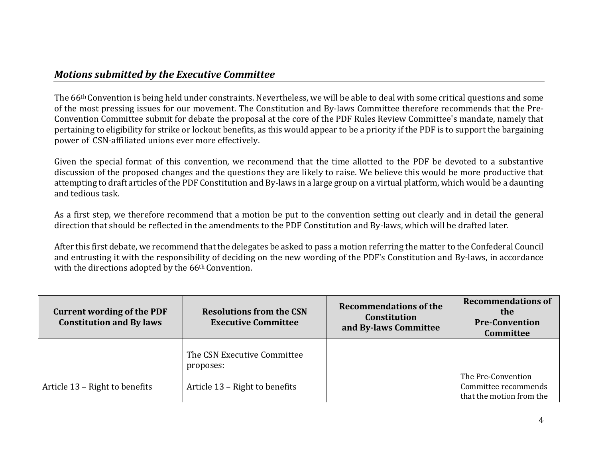# *Motions submitted by the Executive Committee*

The 66th Convention is being held under constraints. Nevertheless, we will be able to deal with some critical questions and some of the most pressing issues for our movement. The Constitution and By-laws Committee therefore recommends that the Pre-Convention Committee submit for debate the proposal at the core of the PDF Rules Review Committee's mandate, namely that pertaining to eligibility for strike or lockout benefits, as this would appear to be a priority if the PDF is to support the bargaining power of CSN-affiliated unions ever more effectively.

Given the special format of this convention, we recommend that the time allotted to the PDF be devoted to a substantive discussion of the proposed changes and the questions they are likely to raise. We believe this would be more productive that attempting to draft articles of the PDF Constitution and By-laws in a large group on a virtual platform, which would be a daunting and tedious task.

As a first step, we therefore recommend that a motion be put to the convention setting out clearly and in detail the general direction that should be reflected in the amendments to the PDF Constitution and By-laws, which will be drafted later.

After this first debate, we recommend that the delegates be asked to pass a motion referring the matter to the Confederal Council and entrusting it with the responsibility of deciding on the new wording of the PDF's Constitution and By-laws, in accordance with the directions adopted by the 66<sup>th</sup> Convention.

| <b>Current wording of the PDF</b><br><b>Constitution and By laws</b> | <b>Resolutions from the CSN</b><br><b>Executive Committee</b> | Recommendations of the<br><b>Constitution</b><br>and By-laws Committee | <b>Recommendations of</b><br>the<br><b>Pre-Convention</b><br><b>Committee</b> |
|----------------------------------------------------------------------|---------------------------------------------------------------|------------------------------------------------------------------------|-------------------------------------------------------------------------------|
|                                                                      | The CSN Executive Committee<br>proposes:                      |                                                                        |                                                                               |
| Article 13 - Right to benefits                                       | Article 13 – Right to benefits                                |                                                                        | The Pre-Convention<br>Committee recommends<br>that the motion from the        |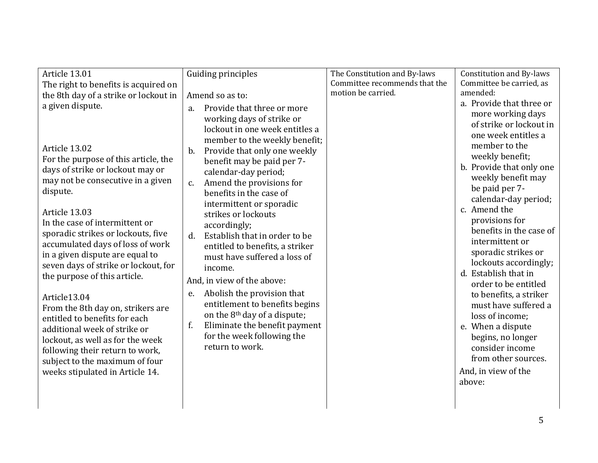| Article 13.01                                                                                                                                                                                                                                                  | Guiding principles                                                                                                                                                                                                                                                                | The Constitution and By-laws  | <b>Constitution and By-laws</b>                                                                                                                                                                                     |
|----------------------------------------------------------------------------------------------------------------------------------------------------------------------------------------------------------------------------------------------------------------|-----------------------------------------------------------------------------------------------------------------------------------------------------------------------------------------------------------------------------------------------------------------------------------|-------------------------------|---------------------------------------------------------------------------------------------------------------------------------------------------------------------------------------------------------------------|
| The right to benefits is acquired on                                                                                                                                                                                                                           |                                                                                                                                                                                                                                                                                   | Committee recommends that the | Committee be carried, as                                                                                                                                                                                            |
| the 8th day of a strike or lockout in                                                                                                                                                                                                                          | Amend so as to:                                                                                                                                                                                                                                                                   | motion be carried.            | amended:                                                                                                                                                                                                            |
| a given dispute.                                                                                                                                                                                                                                               | Provide that three or more<br>a.                                                                                                                                                                                                                                                  |                               | a. Provide that three or                                                                                                                                                                                            |
| Article 13.02<br>For the purpose of this article, the<br>days of strike or lockout may or<br>may not be consecutive in a given<br>dispute.                                                                                                                     | working days of strike or<br>lockout in one week entitles a<br>member to the weekly benefit;<br>Provide that only one weekly<br>b.<br>benefit may be paid per 7-<br>calendar-day period;<br>Amend the provisions for<br>c.<br>benefits in the case of<br>intermittent or sporadic |                               | more working days<br>of strike or lockout in<br>one week entitles a<br>member to the<br>weekly benefit;<br>b. Provide that only one<br>weekly benefit may<br>be paid per 7-<br>calendar-day period;<br>c. Amend the |
| Article 13.03<br>In the case of intermittent or<br>sporadic strikes or lockouts, five<br>accumulated days of loss of work<br>in a given dispute are equal to<br>seven days of strike or lockout, for<br>the purpose of this article.                           | strikes or lockouts<br>accordingly;<br>Establish that in order to be<br>$d_{\cdot}$<br>entitled to benefits, a striker<br>must have suffered a loss of<br>income.<br>And, in view of the above:                                                                                   |                               | provisions for<br>benefits in the case of<br>intermittent or<br>sporadic strikes or<br>lockouts accordingly;<br>d. Establish that in<br>order to be entitled                                                        |
| Article13.04<br>From the 8th day on, strikers are<br>entitled to benefits for each<br>additional week of strike or<br>lockout, as well as for the week<br>following their return to work,<br>subject to the maximum of four<br>weeks stipulated in Article 14. | Abolish the provision that<br>e.<br>entitlement to benefits begins<br>on the 8 <sup>th</sup> day of a dispute;<br>Eliminate the benefit payment<br>f.<br>for the week following the<br>return to work.                                                                            |                               | to benefits, a striker<br>must have suffered a<br>loss of income;<br>e. When a dispute<br>begins, no longer<br>consider income<br>from other sources.<br>And, in view of the<br>above:                              |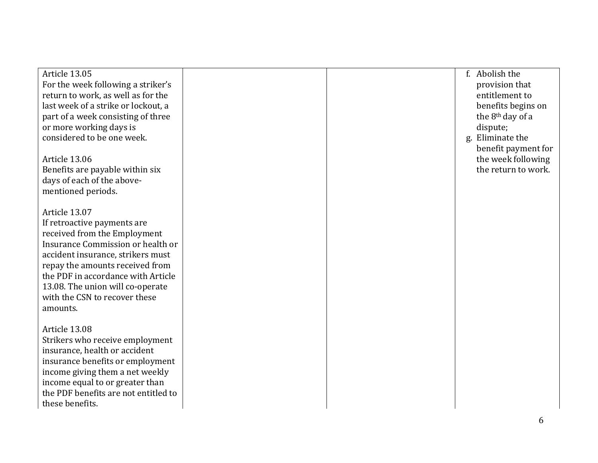| Article 13.05<br>For the week following a striker's<br>return to work, as well as for the<br>last week of a strike or lockout, a<br>part of a week consisting of three<br>or more working days is<br>considered to be one week.<br>Article 13.06<br>Benefits are payable within six<br>days of each of the above-<br>mentioned periods. |  | f. Abolish the<br>provision that<br>entitlement to<br>benefits begins on<br>the 8 <sup>th</sup> day of a<br>dispute;<br>Eliminate the<br>g.<br>benefit payment for<br>the week following<br>the return to work. |
|-----------------------------------------------------------------------------------------------------------------------------------------------------------------------------------------------------------------------------------------------------------------------------------------------------------------------------------------|--|-----------------------------------------------------------------------------------------------------------------------------------------------------------------------------------------------------------------|
| Article 13.07<br>If retroactive payments are<br>received from the Employment<br>Insurance Commission or health or<br>accident insurance, strikers must<br>repay the amounts received from<br>the PDF in accordance with Article<br>13.08. The union will co-operate<br>with the CSN to recover these<br>amounts.                        |  |                                                                                                                                                                                                                 |
| Article 13.08<br>Strikers who receive employment<br>insurance, health or accident<br>insurance benefits or employment<br>income giving them a net weekly<br>income equal to or greater than<br>the PDF benefits are not entitled to<br>these benefits.                                                                                  |  |                                                                                                                                                                                                                 |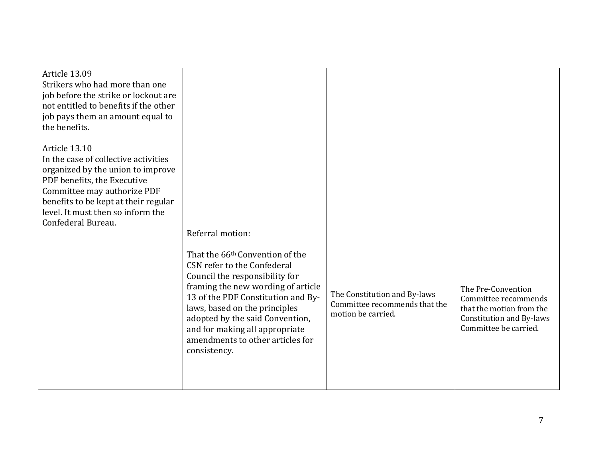| Article 13.09<br>Strikers who had more than one<br>job before the strike or lockout are<br>not entitled to benefits if the other<br>job pays them an amount equal to<br>the benefits. |                                                                                                                                                                                                                                                                                                     |                                                                                     |                                                                                                                             |
|---------------------------------------------------------------------------------------------------------------------------------------------------------------------------------------|-----------------------------------------------------------------------------------------------------------------------------------------------------------------------------------------------------------------------------------------------------------------------------------------------------|-------------------------------------------------------------------------------------|-----------------------------------------------------------------------------------------------------------------------------|
| Article 13.10<br>In the case of collective activities                                                                                                                                 |                                                                                                                                                                                                                                                                                                     |                                                                                     |                                                                                                                             |
| organized by the union to improve<br>PDF benefits, the Executive                                                                                                                      |                                                                                                                                                                                                                                                                                                     |                                                                                     |                                                                                                                             |
| Committee may authorize PDF                                                                                                                                                           |                                                                                                                                                                                                                                                                                                     |                                                                                     |                                                                                                                             |
| benefits to be kept at their regular<br>level. It must then so inform the                                                                                                             |                                                                                                                                                                                                                                                                                                     |                                                                                     |                                                                                                                             |
| Confederal Bureau.                                                                                                                                                                    | Referral motion:                                                                                                                                                                                                                                                                                    |                                                                                     |                                                                                                                             |
|                                                                                                                                                                                       | That the 66 <sup>th</sup> Convention of the                                                                                                                                                                                                                                                         |                                                                                     |                                                                                                                             |
|                                                                                                                                                                                       | CSN refer to the Confederal<br>Council the responsibility for<br>framing the new wording of article<br>13 of the PDF Constitution and By-<br>laws, based on the principles<br>adopted by the said Convention,<br>and for making all appropriate<br>amendments to other articles for<br>consistency. | The Constitution and By-laws<br>Committee recommends that the<br>motion be carried. | The Pre-Convention<br>Committee recommends<br>that the motion from the<br>Constitution and By-laws<br>Committee be carried. |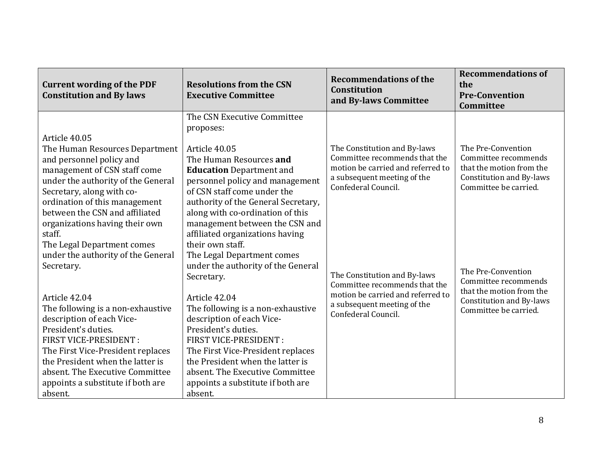| <b>Current wording of the PDF</b><br><b>Constitution and By laws</b> | <b>Resolutions from the CSN</b><br><b>Executive Committee</b> | <b>Recommendations of the</b><br><b>Constitution</b><br>and By-laws Committee | <b>Recommendations of</b><br>the<br><b>Pre-Convention</b><br>Committee               |
|----------------------------------------------------------------------|---------------------------------------------------------------|-------------------------------------------------------------------------------|--------------------------------------------------------------------------------------|
|                                                                      | The CSN Executive Committee                                   |                                                                               |                                                                                      |
|                                                                      | proposes:                                                     |                                                                               |                                                                                      |
| Article 40.05                                                        |                                                               |                                                                               | The Pre-Convention                                                                   |
| The Human Resources Department<br>and personnel policy and           | Article 40.05<br>The Human Resources and                      | The Constitution and By-laws<br>Committee recommends that the                 | Committee recommends                                                                 |
| management of CSN staff come                                         | <b>Education</b> Department and                               | motion be carried and referred to                                             | that the motion from the                                                             |
| under the authority of the General                                   | personnel policy and management                               | a subsequent meeting of the                                                   | Constitution and By-laws                                                             |
| Secretary, along with co-                                            | of CSN staff come under the                                   | Confederal Council.                                                           | Committee be carried.                                                                |
| ordination of this management                                        | authority of the General Secretary,                           |                                                                               |                                                                                      |
| between the CSN and affiliated                                       | along with co-ordination of this                              |                                                                               |                                                                                      |
| organizations having their own                                       | management between the CSN and                                |                                                                               |                                                                                      |
| staff.                                                               | affiliated organizations having                               |                                                                               |                                                                                      |
| The Legal Department comes                                           | their own staff.                                              |                                                                               |                                                                                      |
| under the authority of the General                                   | The Legal Department comes                                    |                                                                               |                                                                                      |
| Secretary.                                                           | under the authority of the General                            |                                                                               | The Pre-Convention                                                                   |
|                                                                      | Secretary.                                                    | The Constitution and By-laws<br>Committee recommends that the                 | Committee recommends                                                                 |
| Article 42.04                                                        | Article 42.04                                                 | motion be carried and referred to                                             | that the motion from the<br><b>Constitution and By-laws</b><br>Committee be carried. |
| The following is a non-exhaustive                                    | The following is a non-exhaustive                             | a subsequent meeting of the<br>Confederal Council.                            |                                                                                      |
| description of each Vice-                                            | description of each Vice-                                     |                                                                               |                                                                                      |
| President's duties.                                                  | President's duties.                                           |                                                                               |                                                                                      |
| FIRST VICE-PRESIDENT :                                               | FIRST VICE-PRESIDENT :                                        |                                                                               |                                                                                      |
| The First Vice-President replaces                                    | The First Vice-President replaces                             |                                                                               |                                                                                      |
| the President when the latter is                                     | the President when the latter is                              |                                                                               |                                                                                      |
| absent. The Executive Committee                                      | absent. The Executive Committee                               |                                                                               |                                                                                      |
| appoints a substitute if both are                                    | appoints a substitute if both are                             |                                                                               |                                                                                      |
| absent.                                                              | absent.                                                       |                                                                               |                                                                                      |